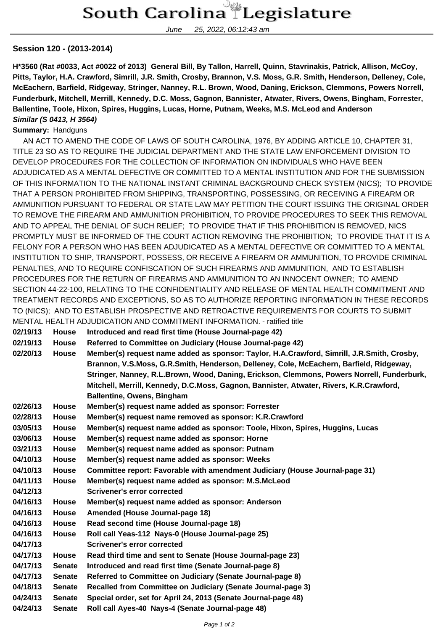June 25, 2022, 06:12:43 am

## **Session 120 - (2013-2014)**

**H\*3560 (Rat #0033, Act #0022 of 2013) General Bill, By Tallon, Harrell, Quinn, Stavrinakis, Patrick, Allison, McCoy, Pitts, Taylor, H.A. Crawford, Simrill, J.R. Smith, Crosby, Brannon, V.S. Moss, G.R. Smith, Henderson, Delleney, Cole, McEachern, Barfield, Ridgeway, Stringer, Nanney, R.L. Brown, Wood, Daning, Erickson, Clemmons, Powers Norrell, Funderburk, Mitchell, Merrill, Kennedy, D.C. Moss, Gagnon, Bannister, Atwater, Rivers, Owens, Bingham, Forrester, Ballentine, Toole, Hixon, Spires, Huggins, Lucas, Horne, Putnam, Weeks, M.S. McLeod and Anderson Similar (S 0413, H 3564)**

## **Summary:** Handguns

 AN ACT TO AMEND THE CODE OF LAWS OF SOUTH CAROLINA, 1976, BY ADDING ARTICLE 10, CHAPTER 31, TITLE 23 SO AS TO REQUIRE THE JUDICIAL DEPARTMENT AND THE STATE LAW ENFORCEMENT DIVISION TO DEVELOP PROCEDURES FOR THE COLLECTION OF INFORMATION ON INDIVIDUALS WHO HAVE BEEN ADJUDICATED AS A MENTAL DEFECTIVE OR COMMITTED TO A MENTAL INSTITUTION AND FOR THE SUBMISSION OF THIS INFORMATION TO THE NATIONAL INSTANT CRIMINAL BACKGROUND CHECK SYSTEM (NICS); TO PROVIDE THAT A PERSON PROHIBITED FROM SHIPPING, TRANSPORTING, POSSESSING, OR RECEIVING A FIREARM OR AMMUNITION PURSUANT TO FEDERAL OR STATE LAW MAY PETITION THE COURT ISSUING THE ORIGINAL ORDER TO REMOVE THE FIREARM AND AMMUNITION PROHIBITION, TO PROVIDE PROCEDURES TO SEEK THIS REMOVAL AND TO APPEAL THE DENIAL OF SUCH RELIEF; TO PROVIDE THAT IF THIS PROHIBITION IS REMOVED, NICS PROMPTLY MUST BE INFORMED OF THE COURT ACTION REMOVING THE PROHIBITION; TO PROVIDE THAT IT IS A FELONY FOR A PERSON WHO HAS BEEN ADJUDICATED AS A MENTAL DEFECTIVE OR COMMITTED TO A MENTAL INSTITUTION TO SHIP, TRANSPORT, POSSESS, OR RECEIVE A FIREARM OR AMMUNITION, TO PROVIDE CRIMINAL PENALTIES, AND TO REQUIRE CONFISCATION OF SUCH FIREARMS AND AMMUNITION, AND TO ESTABLISH PROCEDURES FOR THE RETURN OF FIREARMS AND AMMUNITION TO AN INNOCENT OWNER; TO AMEND SECTION 44-22-100, RELATING TO THE CONFIDENTIALITY AND RELEASE OF MENTAL HEALTH COMMITMENT AND TREATMENT RECORDS AND EXCEPTIONS, SO AS TO AUTHORIZE REPORTING INFORMATION IN THESE RECORDS TO (NICS); AND TO ESTABLISH PROSPECTIVE AND RETROACTIVE REQUIREMENTS FOR COURTS TO SUBMIT MENTAL HEALTH ADJUDICATION AND COMMITMENT INFORMATION. - ratified title

|  | 02/19/13 House Introduced and read first time (House Journal-page 42) |  |
|--|-----------------------------------------------------------------------|--|
|  |                                                                       |  |

- **02/19/13 House Referred to Committee on Judiciary (House Journal-page 42)**
- **02/20/13 House Member(s) request name added as sponsor: Taylor, H.A.Crawford, Simrill, J.R.Smith, Crosby, Brannon, V.S.Moss, G.R.Smith, Henderson, Delleney, Cole, McEachern, Barfield, Ridgeway, Stringer, Nanney, R.L.Brown, Wood, Daning, Erickson, Clemmons, Powers Norrell, Funderburk, Mitchell, Merrill, Kennedy, D.C.Moss, Gagnon, Bannister, Atwater, Rivers, K.R.Crawford, Ballentine, Owens, Bingham**
- **02/26/13 House Member(s) request name added as sponsor: Forrester**
- **02/28/13 House Member(s) request name removed as sponsor: K.R.Crawford**
- **03/05/13 House Member(s) request name added as sponsor: Toole, Hixon, Spires, Huggins, Lucas**
- **03/06/13 House Member(s) request name added as sponsor: Horne**
- **03/21/13 House Member(s) request name added as sponsor: Putnam**
- **04/10/13 House Member(s) request name added as sponsor: Weeks**
- **04/10/13 House Committee report: Favorable with amendment Judiciary (House Journal-page 31)**
- **04/11/13 House Member(s) request name added as sponsor: M.S.McLeod**
- **04/12/13 Scrivener's error corrected**
- **04/16/13 House Member(s) request name added as sponsor: Anderson**
- **04/16/13 House Amended (House Journal-page 18)**
- **04/16/13 House Read second time (House Journal-page 18)**
- **04/16/13 House Roll call Yeas-112 Nays-0 (House Journal-page 25)**
- **04/17/13 Scrivener's error corrected**
- **04/17/13 House Read third time and sent to Senate (House Journal-page 23)**
- **04/17/13 Senate Introduced and read first time (Senate Journal-page 8)**
- **04/17/13 Senate Referred to Committee on Judiciary (Senate Journal-page 8)**
- **04/18/13 Senate Recalled from Committee on Judiciary (Senate Journal-page 3)**
- **04/24/13 Senate Special order, set for April 24, 2013 (Senate Journal-page 48) 04/24/13 Senate Roll call Ayes-40 Nays-4 (Senate Journal-page 48)**
	-